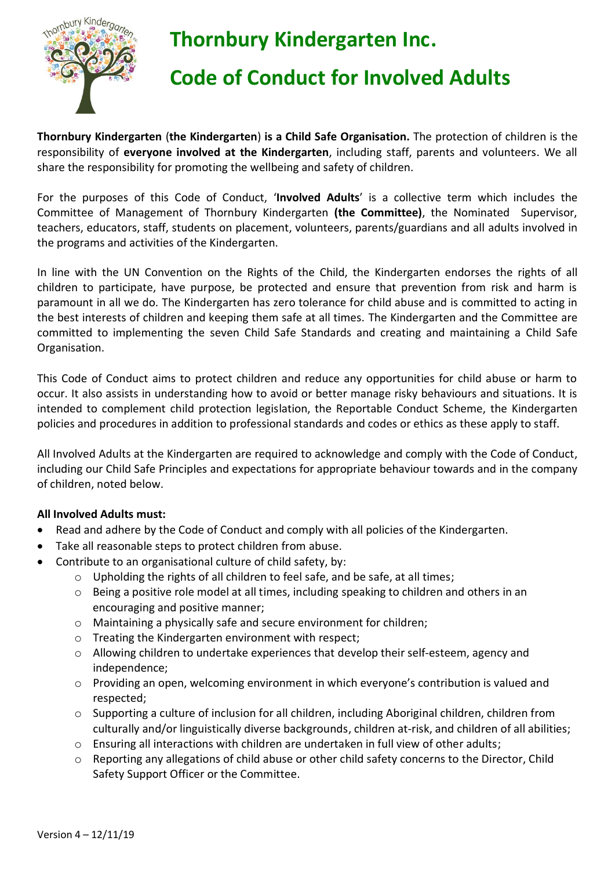

# **Thornbury Kindergarten Inc.**

### **Code of Conduct for Involved Adults**

**Thornbury Kindergarten** (**the Kindergarten**) **is a Child Safe Organisation.** The protection of children is the responsibility of **everyone involved at the Kindergarten**, including staff, parents and volunteers. We all share the responsibility for promoting the wellbeing and safety of children.

For the purposes of this Code of Conduct, '**Involved Adults**' is a collective term which includes the Committee of Management of Thornbury Kindergarten **(the Committee)**, the Nominated Supervisor, teachers, educators, staff, students on placement, volunteers, parents/guardians and all adults involved in the programs and activities of the Kindergarten.

In line with the UN Convention on the Rights of the Child, the Kindergarten endorses the rights of all children to participate, have purpose, be protected and ensure that prevention from risk and harm is paramount in all we do. The Kindergarten has zero tolerance for child abuse and is committed to acting in the best interests of children and keeping them safe at all times. The Kindergarten and the Committee are committed to implementing the seven Child Safe Standards and creating and maintaining a Child Safe Organisation.

This Code of Conduct aims to protect children and reduce any opportunities for child abuse or harm to occur. It also assists in understanding how to avoid or better manage risky behaviours and situations. It is intended to complement child protection legislation, the Reportable Conduct Scheme, the Kindergarten policies and procedures in addition to professional standards and codes or ethics as these apply to staff.

All Involved Adults at the Kindergarten are required to acknowledge and comply with the Code of Conduct, including our Child Safe Principles and expectations for appropriate behaviour towards and in the company of children, noted below.

#### **All Involved Adults must:**

- Read and adhere by the Code of Conduct and comply with all policies of the Kindergarten.
- Take all reasonable steps to protect children from abuse.
- Contribute to an organisational culture of child safety, by:
	- $\circ$  Upholding the rights of all children to feel safe, and be safe, at all times;
	- o Being a positive role model at all times, including speaking to children and others in an encouraging and positive manner;
	- o Maintaining a physically safe and secure environment for children;
	- o Treating the Kindergarten environment with respect;
	- o Allowing children to undertake experiences that develop their self-esteem, agency and independence;
	- o Providing an open, welcoming environment in which everyone's contribution is valued and respected;
	- o Supporting a culture of inclusion for all children, including Aboriginal children, children from culturally and/or linguistically diverse backgrounds, children at-risk, and children of all abilities;
	- o Ensuring all interactions with children are undertaken in full view of other adults;
	- $\circ$  Reporting any allegations of child abuse or other child safety concerns to the Director, Child Safety Support Officer or the Committee.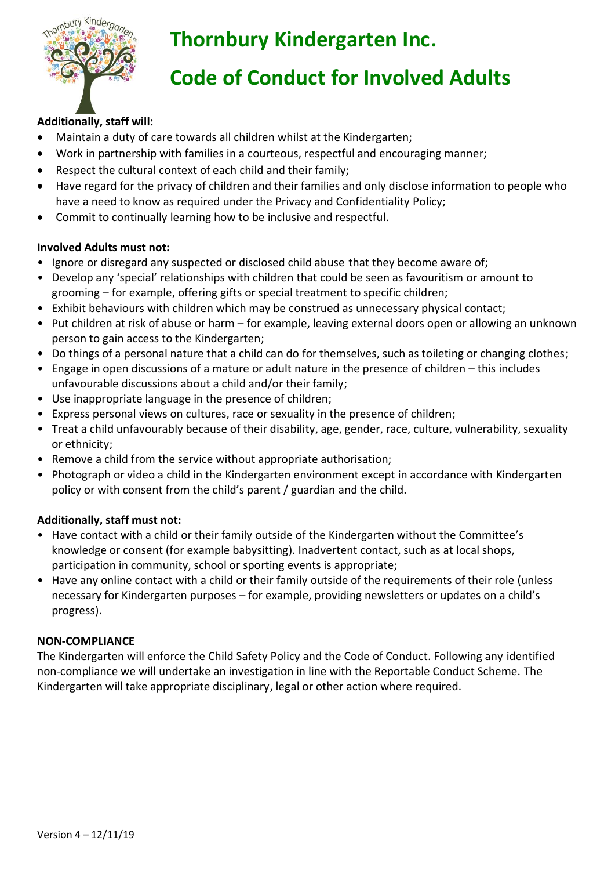

## **Thornbury Kindergarten Inc.**

### **Code of Conduct for Involved Adults**

#### **Additionally, staff will:**

- Maintain a duty of care towards all children whilst at the Kindergarten;
- Work in partnership with families in a courteous, respectful and encouraging manner;
- Respect the cultural context of each child and their family;
- Have regard for the privacy of children and their families and only disclose information to people who have a need to know as required under the Privacy and Confidentiality Policy;
- Commit to continually learning how to be inclusive and respectful.

#### **Involved Adults must not:**

- Ignore or disregard any suspected or disclosed child abuse that they become aware of;
- Develop any 'special' relationships with children that could be seen as favouritism or amount to grooming – for example, offering gifts or special treatment to specific children;
- Exhibit behaviours with children which may be construed as unnecessary physical contact;
- Put children at risk of abuse or harm for example, leaving external doors open or allowing an unknown person to gain access to the Kindergarten;
- Do things of a personal nature that a child can do for themselves, such as toileting or changing clothes;
- Engage in open discussions of a mature or adult nature in the presence of children this includes unfavourable discussions about a child and/or their family;
- Use inappropriate language in the presence of children;
- Express personal views on cultures, race or sexuality in the presence of children;
- Treat a child unfavourably because of their disability, age, gender, race, culture, vulnerability, sexuality or ethnicity;
- Remove a child from the service without appropriate authorisation;
- Photograph or video a child in the Kindergarten environment except in accordance with Kindergarten policy or with consent from the child's parent / guardian and the child.

#### **Additionally, staff must not:**

- Have contact with a child or their family outside of the Kindergarten without the Committee's knowledge or consent (for example babysitting). Inadvertent contact, such as at local shops, participation in community, school or sporting events is appropriate;
- Have any online contact with a child or their family outside of the requirements of their role (unless necessary for Kindergarten purposes – for example, providing newsletters or updates on a child's progress).

#### **NON-COMPLIANCE**

The Kindergarten will enforce the Child Safety Policy and the Code of Conduct. Following any identified non-compliance we will undertake an investigation in line with the Reportable Conduct Scheme. The Kindergarten will take appropriate disciplinary, legal or other action where required.